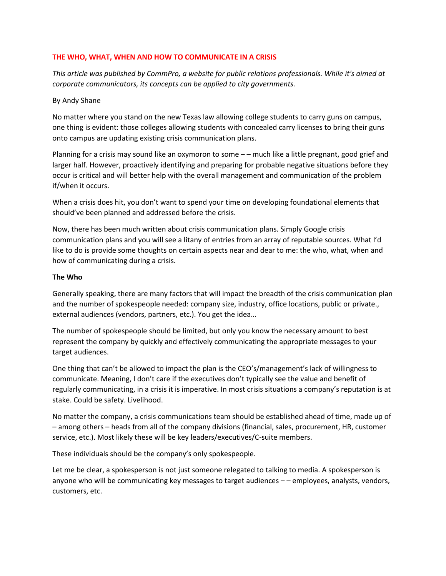### **THE WHO, WHAT, WHEN AND HOW TO COMMUNICATE IN A CRISIS**

*This article was published by CommPro, a website for public relations professionals. While it's aimed at corporate communicators, its concepts can be applied to city governments.*

#### By Andy Shane

No matter where you stand on the new Texas law allowing college students to carry guns on campus, one thing is evident: those colleges allowing students with concealed carry licenses to bring their guns onto campus are updating existing crisis communication plans.

Planning for a crisis may sound like an oxymoron to some – – much like a little pregnant, good grief and larger half. However, proactively identifying and preparing for probable negative situations before they occur is critical and will better help with the overall management and communication of the problem if/when it occurs.

When a crisis does hit, you don't want to spend your time on developing foundational elements that should've been planned and addressed before the crisis.

Now, there has been much written about crisis communication plans. Simply Google crisis communication plans and you will see a litany of entries from an array of reputable sources. What I'd like to do is provide some thoughts on certain aspects near and dear to me: the who, what, when and how of communicating during a crisis.

#### **The Who**

Generally speaking, there are many factors that will impact the breadth of the crisis communication plan and the number of spokespeople needed: company size, industry, office locations, public or private., external audiences (vendors, partners, etc.). You get the idea…

The number of spokespeople should be limited, but only you know the necessary amount to best represent the company by quickly and effectively communicating the appropriate messages to your target audiences.

One thing that can't be allowed to impact the plan is the CEO's/management's lack of willingness to communicate. Meaning, I don't care if the executives don't typically see the value and benefit of regularly communicating, in a crisis it is imperative. In most crisis situations a company's reputation is at stake. Could be safety. Livelihood.

No matter the company, a crisis communications team should be established ahead of time, made up of – among others – heads from all of the company divisions (financial, sales, procurement, HR, customer service, etc.). Most likely these will be key leaders/executives/C-suite members.

These individuals should be the company's only spokespeople.

Let me be clear, a spokesperson is not just someone relegated to talking to media. A spokesperson is anyone who will be communicating key messages to target audiences – – employees, analysts, vendors, customers, etc.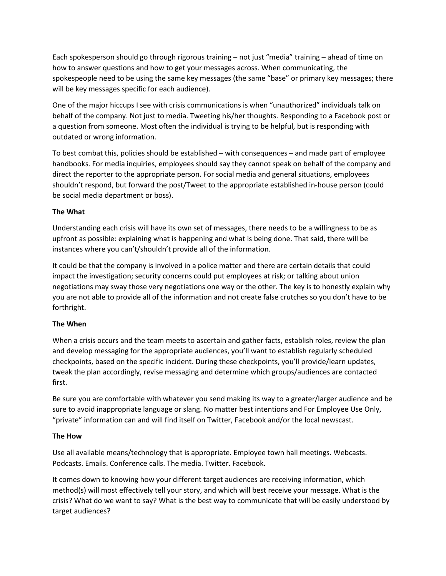Each spokesperson should go through rigorous training – not just "media" training – ahead of time on how to answer questions and how to get your messages across. When communicating, the spokespeople need to be using the same key messages (the same "base" or primary key messages; there will be key messages specific for each audience).

One of the major hiccups I see with crisis communications is when "unauthorized" individuals talk on behalf of the company. Not just to media. Tweeting his/her thoughts. Responding to a Facebook post or a question from someone. Most often the individual is trying to be helpful, but is responding with outdated or wrong information.

To best combat this, policies should be established – with consequences – and made part of employee handbooks. For media inquiries, employees should say they cannot speak on behalf of the company and direct the reporter to the appropriate person. For social media and general situations, employees shouldn't respond, but forward the post/Tweet to the appropriate established in-house person (could be social media department or boss).

# **The What**

Understanding each crisis will have its own set of messages, there needs to be a willingness to be as upfront as possible: explaining what is happening and what is being done. That said, there will be instances where you can't/shouldn't provide all of the information.

It could be that the company is involved in a police matter and there are certain details that could impact the investigation; security concerns could put employees at risk; or talking about union negotiations may sway those very negotiations one way or the other. The key is to honestly explain why you are not able to provide all of the information and not create false crutches so you don't have to be forthright.

# **The When**

When a crisis occurs and the team meets to ascertain and gather facts, establish roles, review the plan and develop messaging for the appropriate audiences, you'll want to establish regularly scheduled checkpoints, based on the specific incident. During these checkpoints, you'll provide/learn updates, tweak the plan accordingly, revise messaging and determine which groups/audiences are contacted first.

Be sure you are comfortable with whatever you send making its way to a greater/larger audience and be sure to avoid inappropriate language or slang. No matter best intentions and For Employee Use Only, "private" information can and will find itself on Twitter, Facebook and/or the local newscast.

# **The How**

Use all available means/technology that is appropriate. Employee town hall meetings. Webcasts. Podcasts. Emails. Conference calls. The media. Twitter. Facebook.

It comes down to knowing how your different target audiences are receiving information, which method(s) will most effectively tell your story, and which will best receive your message. What is the crisis? What do we want to say? What is the best way to communicate that will be easily understood by target audiences?